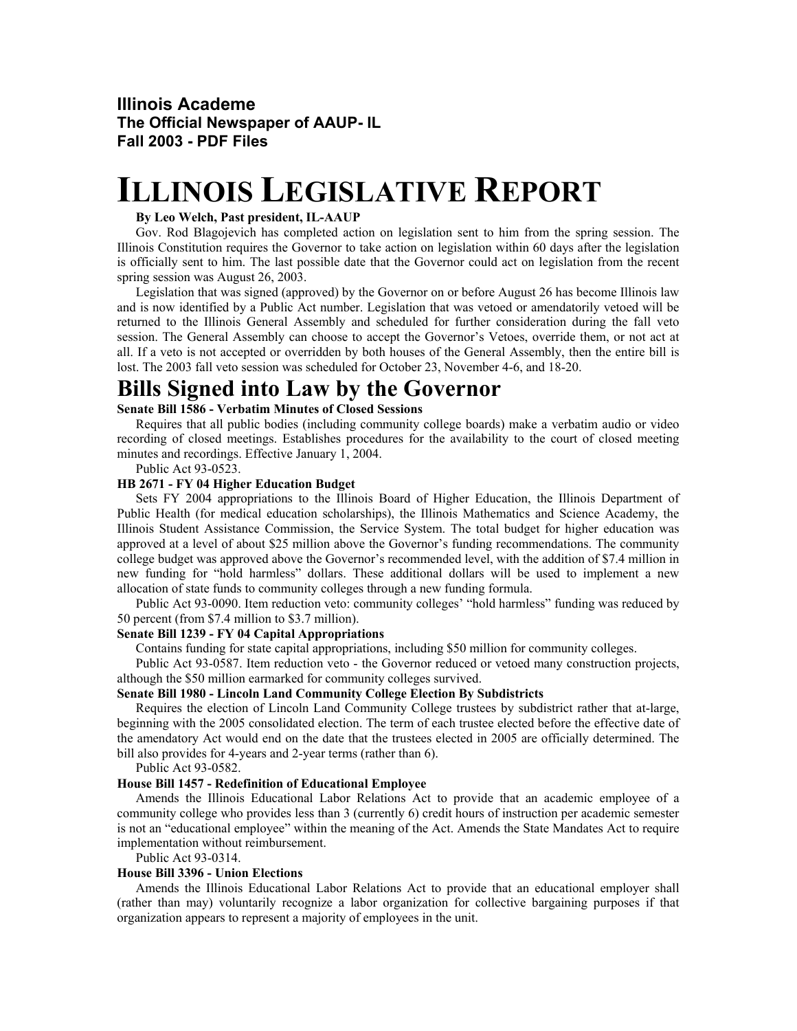### **Illinois Academe The Official Newspaper of AAUP- IL Fall 2003 - PDF Files**

# **ILLINOIS LEGISLATIVE REPORT**

#### **By Leo Welch, Past president, IL-AAUP**

Gov. Rod Blagojevich has completed action on legislation sent to him from the spring session. The Illinois Constitution requires the Governor to take action on legislation within 60 days after the legislation is officially sent to him. The last possible date that the Governor could act on legislation from the recent spring session was August 26, 2003.

Legislation that was signed (approved) by the Governor on or before August 26 has become Illinois law and is now identified by a Public Act number. Legislation that was vetoed or amendatorily vetoed will be returned to the Illinois General Assembly and scheduled for further consideration during the fall veto session. The General Assembly can choose to accept the Governor's Vetoes, override them, or not act at all. If a veto is not accepted or overridden by both houses of the General Assembly, then the entire bill is lost. The 2003 fall veto session was scheduled for October 23, November 4-6, and 18-20.

### **Bills Signed into Law by the Governor**

### **Senate Bill 1586 - Verbatim Minutes of Closed Sessions**

Requires that all public bodies (including community college boards) make a verbatim audio or video recording of closed meetings. Establishes procedures for the availability to the court of closed meeting minutes and recordings. Effective January 1, 2004.

Public Act 93-0523.

#### **HB 2671 - FY 04 Higher Education Budget**

Sets FY 2004 appropriations to the Illinois Board of Higher Education, the Illinois Department of Public Health (for medical education scholarships), the Illinois Mathematics and Science Academy, the Illinois Student Assistance Commission, the Service System. The total budget for higher education was approved at a level of about \$25 million above the Governor's funding recommendations. The community college budget was approved above the Governor's recommended level, with the addition of \$7.4 million in new funding for "hold harmless" dollars. These additional dollars will be used to implement a new allocation of state funds to community colleges through a new funding formula.

Public Act 93-0090. Item reduction veto: community colleges' "hold harmless" funding was reduced by 50 percent (from \$7.4 million to \$3.7 million).

#### **Senate Bill 1239 - FY 04 Capital Appropriations**

Contains funding for state capital appropriations, including \$50 million for community colleges.

Public Act 93-0587. Item reduction veto - the Governor reduced or vetoed many construction projects, although the \$50 million earmarked for community colleges survived.

#### **Senate Bill 1980 - Lincoln Land Community College Election By Subdistricts**

Requires the election of Lincoln Land Community College trustees by subdistrict rather that at-large, beginning with the 2005 consolidated election. The term of each trustee elected before the effective date of the amendatory Act would end on the date that the trustees elected in 2005 are officially determined. The bill also provides for 4-years and 2-year terms (rather than 6).

Public Act 93-0582.

#### **House Bill 1457 - Redefinition of Educational Employee**

Amends the Illinois Educational Labor Relations Act to provide that an academic employee of a community college who provides less than 3 (currently 6) credit hours of instruction per academic semester is not an "educational employee" within the meaning of the Act. Amends the State Mandates Act to require implementation without reimbursement.

Public Act 93-0314.

#### **House Bill 3396 - Union Elections**

Amends the Illinois Educational Labor Relations Act to provide that an educational employer shall (rather than may) voluntarily recognize a labor organization for collective bargaining purposes if that organization appears to represent a majority of employees in the unit.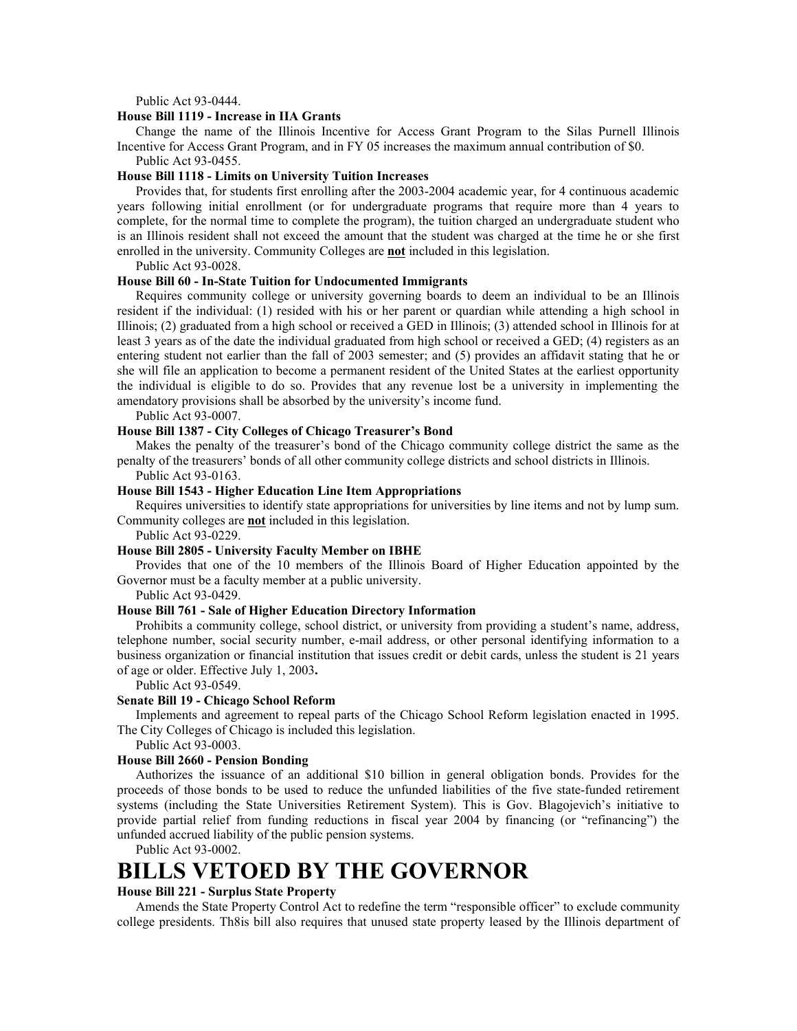Public Act 93-0444.

#### **House Bill 1119 - Increase in IIA Grants**

Change the name of the Illinois Incentive for Access Grant Program to the Silas Purnell Illinois Incentive for Access Grant Program, and in FY 05 increases the maximum annual contribution of \$0.

Public Act 93-0455.

#### **House Bill 1118 - Limits on University Tuition Increases**

Provides that, for students first enrolling after the 2003-2004 academic year, for 4 continuous academic years following initial enrollment (or for undergraduate programs that require more than 4 years to complete, for the normal time to complete the program), the tuition charged an undergraduate student who is an Illinois resident shall not exceed the amount that the student was charged at the time he or she first enrolled in the university. Community Colleges are **not** included in this legislation.

Public Act 93-0028.

#### **House Bill 60 - In-State Tuition for Undocumented Immigrants**

Requires community college or university governing boards to deem an individual to be an Illinois resident if the individual: (1) resided with his or her parent or quardian while attending a high school in Illinois; (2) graduated from a high school or received a GED in Illinois; (3) attended school in Illinois for at least 3 years as of the date the individual graduated from high school or received a GED; (4) registers as an entering student not earlier than the fall of 2003 semester; and (5) provides an affidavit stating that he or she will file an application to become a permanent resident of the United States at the earliest opportunity the individual is eligible to do so. Provides that any revenue lost be a university in implementing the amendatory provisions shall be absorbed by the university's income fund.

Public Act 93-0007.

#### **House Bill 1387 - City Colleges of Chicago Treasurer's Bond**

Makes the penalty of the treasurer's bond of the Chicago community college district the same as the penalty of the treasurers' bonds of all other community college districts and school districts in Illinois.

Public Act 93-0163.

#### **House Bill 1543 - Higher Education Line Item Appropriations**

Requires universities to identify state appropriations for universities by line items and not by lump sum. Community colleges are **not** included in this legislation.

Public Act 93-0229.

#### **House Bill 2805 - University Faculty Member on IBHE**

Provides that one of the 10 members of the Illinois Board of Higher Education appointed by the Governor must be a faculty member at a public university.

Public Act 93-0429.

#### **House Bill 761 - Sale of Higher Education Directory Information**

Prohibits a community college, school district, or university from providing a student's name, address, telephone number, social security number, e-mail address, or other personal identifying information to a business organization or financial institution that issues credit or debit cards, unless the student is 21 years of age or older. Effective July 1, 2003**.** 

Public Act 93-0549.

#### **Senate Bill 19 - Chicago School Reform**

Implements and agreement to repeal parts of the Chicago School Reform legislation enacted in 1995. The City Colleges of Chicago is included this legislation.

Public Act 93-0003.

#### **House Bill 2660 - Pension Bonding**

Authorizes the issuance of an additional \$10 billion in general obligation bonds. Provides for the proceeds of those bonds to be used to reduce the unfunded liabilities of the five state-funded retirement systems (including the State Universities Retirement System). This is Gov. Blagojevich's initiative to provide partial relief from funding reductions in fiscal year 2004 by financing (or "refinancing") the unfunded accrued liability of the public pension systems.

Public Act 93-0002.

## **BILLS VETOED BY THE GOVERNOR**

#### **House Bill 221 - Surplus State Property**

Amends the State Property Control Act to redefine the term "responsible officer" to exclude community college presidents. Th8is bill also requires that unused state property leased by the Illinois department of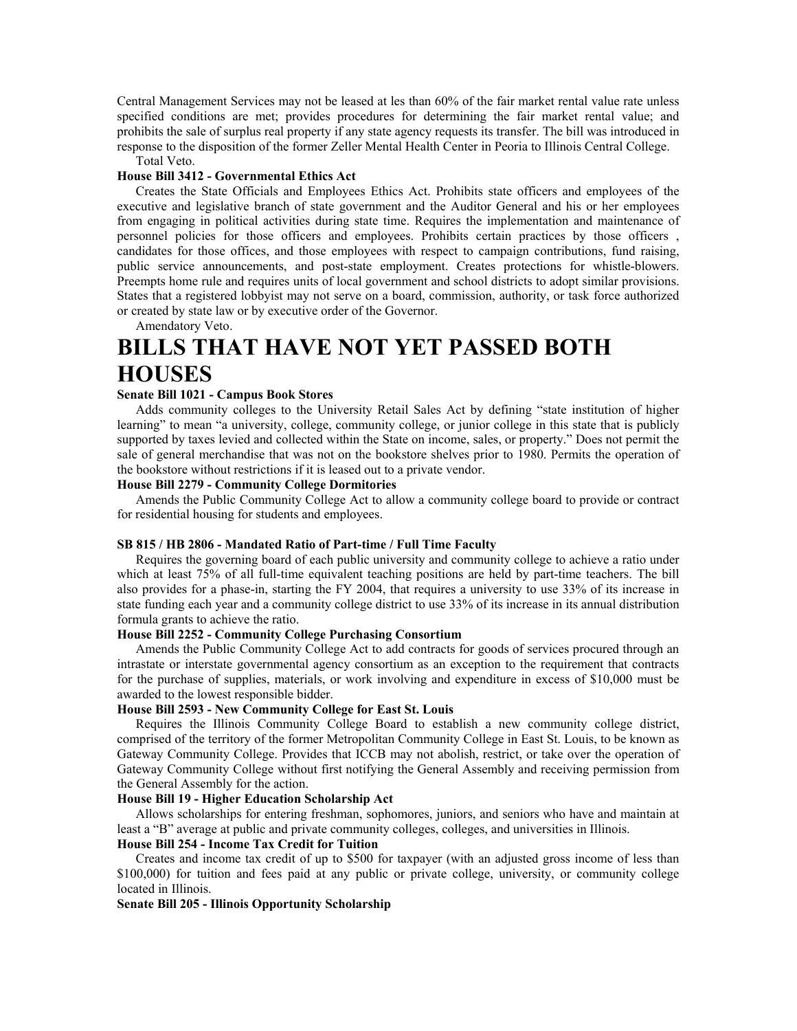Central Management Services may not be leased at les than 60% of the fair market rental value rate unless specified conditions are met; provides procedures for determining the fair market rental value; and prohibits the sale of surplus real property if any state agency requests its transfer. The bill was introduced in response to the disposition of the former Zeller Mental Health Center in Peoria to Illinois Central College.

Total Veto.

#### **House Bill 3412 - Governmental Ethics Act**

Creates the State Officials and Employees Ethics Act. Prohibits state officers and employees of the executive and legislative branch of state government and the Auditor General and his or her employees from engaging in political activities during state time. Requires the implementation and maintenance of personnel policies for those officers and employees. Prohibits certain practices by those officers , candidates for those offices, and those employees with respect to campaign contributions, fund raising, public service announcements, and post-state employment. Creates protections for whistle-blowers. Preempts home rule and requires units of local government and school districts to adopt similar provisions. States that a registered lobbyist may not serve on a board, commission, authority, or task force authorized or created by state law or by executive order of the Governor.

Amendatory Veto.

# **BILLS THAT HAVE NOT YET PASSED BOTH HOUSES**

#### **Senate Bill 1021 - Campus Book Stores**

Adds community colleges to the University Retail Sales Act by defining "state institution of higher learning" to mean "a university, college, community college, or junior college in this state that is publicly supported by taxes levied and collected within the State on income, sales, or property." Does not permit the sale of general merchandise that was not on the bookstore shelves prior to 1980. Permits the operation of the bookstore without restrictions if it is leased out to a private vendor.

#### **House Bill 2279 - Community College Dormitories**

Amends the Public Community College Act to allow a community college board to provide or contract for residential housing for students and employees.

#### **SB 815 / HB 2806 - Mandated Ratio of Part-time / Full Time Faculty**

Requires the governing board of each public university and community college to achieve a ratio under which at least 75% of all full-time equivalent teaching positions are held by part-time teachers. The bill also provides for a phase-in, starting the FY 2004, that requires a university to use 33% of its increase in state funding each year and a community college district to use 33% of its increase in its annual distribution formula grants to achieve the ratio.

#### **House Bill 2252 - Community College Purchasing Consortium**

Amends the Public Community College Act to add contracts for goods of services procured through an intrastate or interstate governmental agency consortium as an exception to the requirement that contracts for the purchase of supplies, materials, or work involving and expenditure in excess of \$10,000 must be awarded to the lowest responsible bidder.

#### **House Bill 2593 - New Community College for East St. Louis**

Requires the Illinois Community College Board to establish a new community college district, comprised of the territory of the former Metropolitan Community College in East St. Louis, to be known as Gateway Community College. Provides that ICCB may not abolish, restrict, or take over the operation of Gateway Community College without first notifying the General Assembly and receiving permission from the General Assembly for the action.

#### **House Bill 19 - Higher Education Scholarship Act**

Allows scholarships for entering freshman, sophomores, juniors, and seniors who have and maintain at least a "B" average at public and private community colleges, colleges, and universities in Illinois.

#### **House Bill 254 - Income Tax Credit for Tuition**

Creates and income tax credit of up to \$500 for taxpayer (with an adjusted gross income of less than \$100,000) for tuition and fees paid at any public or private college, university, or community college located in Illinois.

#### **Senate Bill 205 - Illinois Opportunity Scholarship**